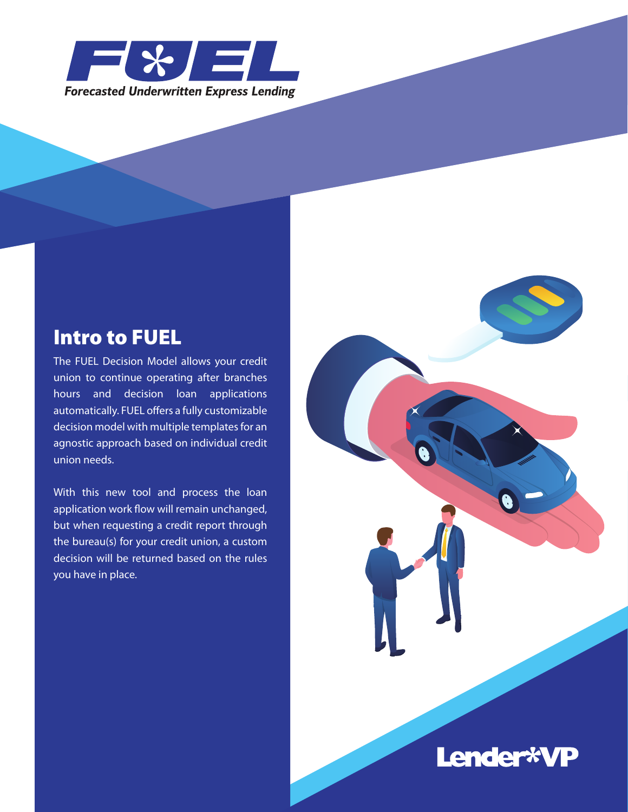

### Intro to FUEL

The FUEL Decision Model allows your credit union to continue operating after branches hours and decision loan applications automatically. FUEL offers a fully customizable decision model with multiple templates for an agnostic approach based on individual credit union needs.

With this new tool and process the loan application work flow will remain unchanged, but when requesting a credit report through the bureau(s) for your credit union, a custom decision will be returned based on the rules you have in place.



## Lender\*VP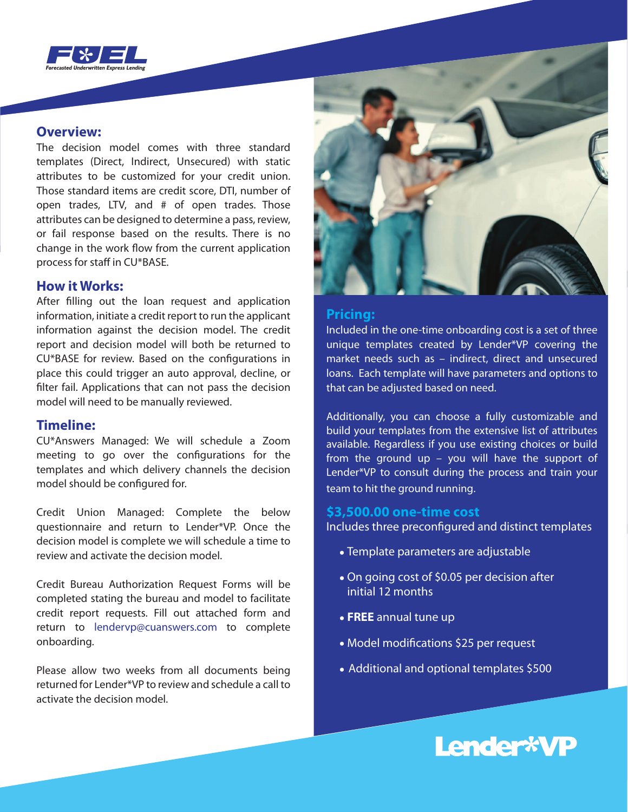

#### **Overview:**

The decision model comes with three standard templates (Direct, Indirect, Unsecured) with static attributes to be customized for your credit union. Those standard items are credit score, DTI, number of open trades, LTV, and # of open trades. Those attributes can be designed to determine a pass, review, or fail response based on the results. There is no change in the work flow from the current application process for staff in CU\*BASE.

#### **How it Works:**

After filling out the loan request and application information, initiate a credit report to run the applicant information against the decision model. The credit report and decision model will both be returned to CU\*BASE for review. Based on the configurations in place this could trigger an auto approval, decline, or filter fail. Applications that can not pass the decision model will need to be manually reviewed.

#### **Timeline:**

CU\*Answers Managed: We will schedule a Zoom meeting to go over the configurations for the templates and which delivery channels the decision model should be configured for.

Credit Union Managed: Complete the below questionnaire and return to Lender\*VP. Once the decision model is complete we will schedule a time to review and activate the decision model.

Credit Bureau Authorization Request Forms will be completed stating the bureau and model to facilitate credit report requests. Fill out attached form and return to lendervp@cuanswers.com to complete onboarding.

Please allow two weeks from all documents being returned for Lender\*VP to review and schedule a call to activate the decision model.



#### **Pricing:**

Included in the one-time onboarding cost is a set of three unique templates created by Lender\*VP covering the market needs such as – indirect, direct and unsecured loans. Each template will have parameters and options to that can be adjusted based on need.

Additionally, you can choose a fully customizable and build your templates from the extensive list of attributes available. Regardless if you use existing choices or build from the ground up – you will have the support of Lender\*VP to consult during the process and train your team to hit the ground running.

#### **\$3,500.00 one-time cost**

Includes three preconfigured and distinct templates

- Template parameters are adjustable
- On going cost of \$0.05 per decision after initial 12 months
- **FREE** annual tune up
- Model modifications \$25 per request
- Additional and optional templates \$500

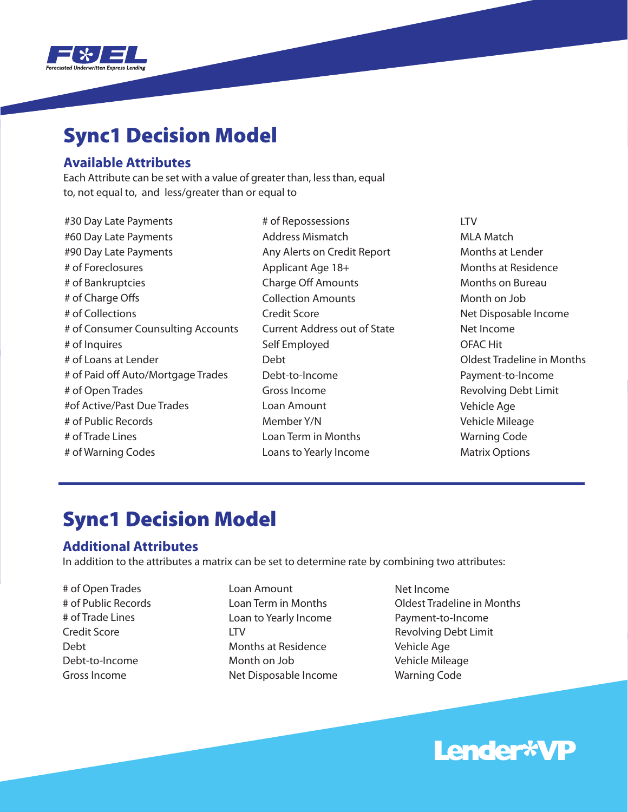

## Sync1 Decision Model

#### **Available Attributes**

Each Attribute can be set with a value of greater than, less than, equal to, not equal to, and less/greater than or equal to

#30 Day Late Payments #60 Day Late Payments #90 Day Late Payments # of Foreclosures # of Bankruptcies # of Charge Offs # of Collections # of Consumer Counsulting Accounts # of Inquires # of Loans at Lender # of Paid off Auto/Mortgage Trades # of Open Trades #of Active/Past Due Trades # of Public Records # of Trade Lines # of Warning Codes

# of Repossessions Address Mismatch Any Alerts on Credit Report Applicant Age 18+ **Charge Off Amounts** Collection Amounts Credit Score Current Address out of State Self Employed Debt Debt-to-Income Gross Income Loan Amount Member Y/N Loan Term in Months Loans to Yearly Income

LTV MLA Match Months at Lender Months at Residence Months on Bureau Month on Job Net Disposable Income Net Income OFAC Hit Oldest Tradeline in Months Payment-to-Income Revolving Debt Limit Vehicle Age Vehicle Mileage Warning Code Matrix Options

## Sync1 Decision Model

#### **Additional Attributes**

In addition to the attributes a matrix can be set to determine rate by combining two attributes:

- # of Open Trades # of Public Records # of Trade Lines Credit Score Debt Debt-to-Income Gross Income
- Loan Amount Loan Term in Months Loan to Yearly Income LTV Months at Residence Month on Job Net Disposable Income
- Net Income Oldest Tradeline in Months Payment-to-Income Revolving Debt Limit Vehicle Age Vehicle Mileage Warning Code

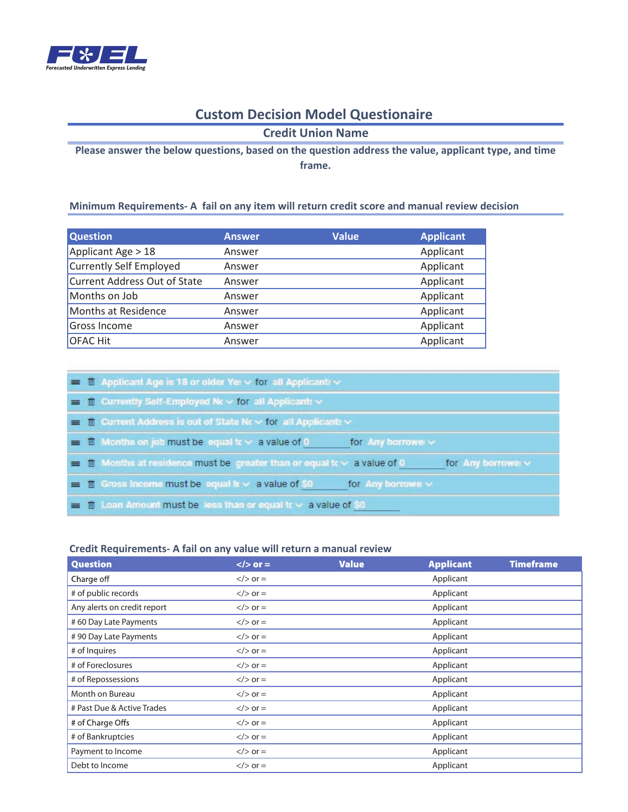

#### **Custom Decision Model Questionaire**

**Credit Union Name**

**Please answer the below questions, based on the question address the value, applicant type, and time frame.** 

#### **Minimum Requirements- A fail on any item will return credit score and manual review decision**

| <b>Question</b>              | <b>Answer</b> | <b>Value</b> | <b>Applicant</b> |
|------------------------------|---------------|--------------|------------------|
| Applicant Age > 18           | Answer        |              | Applicant        |
| Currently Self Employed      | Answer        |              | Applicant        |
| Current Address Out of State | Answer        |              | Applicant        |
| Months on Job                | Answer        |              | Applicant        |
| Months at Residence          | Answer        |              | Applicant        |
| Gross Income                 | Answer        |              | Applicant        |
| <b>OFAC Hit</b>              | Answer        |              | Applicant        |

|  | $\equiv$ 1 Applicant Age is 18 or older Yet $\times$ for all Applicant $\times$                              |
|--|--------------------------------------------------------------------------------------------------------------|
|  | $\equiv$ <b>T</b> Currently Self-Employed Nc $\vee$ for all Applicants $\vee$                                |
|  | $\equiv$ 1 Current Address is out of State Nc $\sim$ for all Applicants $\sim$                               |
|  | $\equiv$ 1 Months on job must be lequal to $\times$ a value of 0<br>sfor Any borrower w                      |
|  | $\equiv$ 10 Months at residence must be greater than or equal to $\times$ a value of 0<br>for Any borrower ~ |
|  | $\equiv$ 1 Gross income must be equal to $\times$ a value of \$0<br>for Any borrowe w                        |
|  | $\equiv$ 1 Loan Amount must be less than or equal to $\sim$ a value of \$0.                                  |

#### **Credit Requirements- A fail on any value will return a manual review**

| <b>Question</b>             | $\langle$ > or = | <b>Value</b> | <b>Applicant</b> | <b>Timeframe</b> |
|-----------------------------|------------------|--------------|------------------|------------------|
| Charge off                  | $\langle$ > or = |              | Applicant        |                  |
| # of public records         | $\langle$ > or = |              | Applicant        |                  |
| Any alerts on credit report | $\langle$ > or = |              | Applicant        |                  |
| #60 Day Late Payments       | $\langle$ > or = |              | Applicant        |                  |
| #90 Day Late Payments       | $\langle$ > or = |              | Applicant        |                  |
| # of Inquires               | $\langle$ > or = |              | Applicant        |                  |
| # of Foreclosures           | $\langle$ > or = |              | Applicant        |                  |
| # of Repossessions          | $\langle$ > or = |              | Applicant        |                  |
| Month on Bureau             | $\langle$ > or = |              | Applicant        |                  |
| # Past Due & Active Trades  | $\langle$ > or = |              | Applicant        |                  |
| # of Charge Offs            | $\langle$ > or = |              | Applicant        |                  |
| # of Bankruptcies           | $\langle$ > or = |              | Applicant        |                  |
| Payment to Income           | $\langle$ > or = |              | Applicant        |                  |
| Debt to Income              | $\langle$ > or = |              | Applicant        |                  |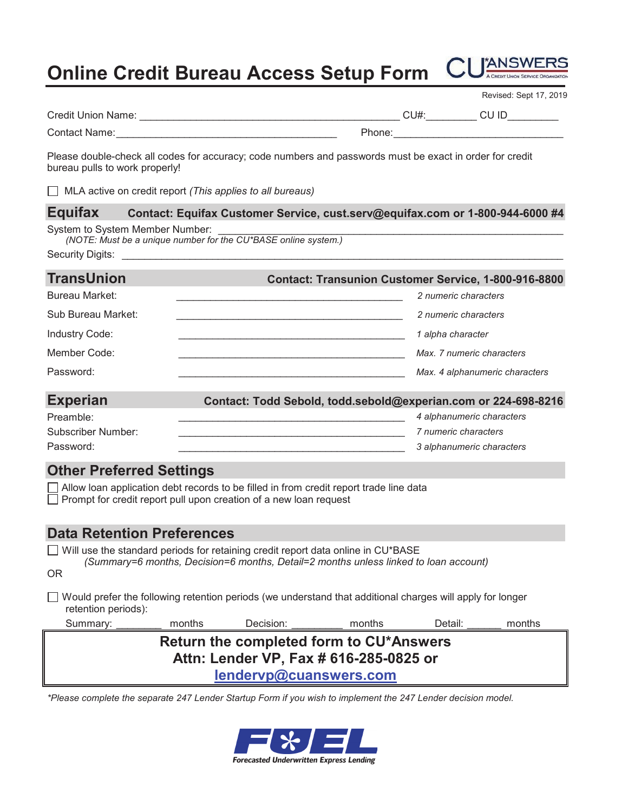# **Online Credit Bureau Access Setup Form CUANSWERS**



|                                         |                                                                                                                                                                          |        |                           | Revised: Sept 17, 2019                                      |  |  |  |
|-----------------------------------------|--------------------------------------------------------------------------------------------------------------------------------------------------------------------------|--------|---------------------------|-------------------------------------------------------------|--|--|--|
|                                         |                                                                                                                                                                          |        |                           |                                                             |  |  |  |
|                                         |                                                                                                                                                                          |        |                           |                                                             |  |  |  |
| bureau pulls to work properly!          | Please double-check all codes for accuracy; code numbers and passwords must be exact in order for credit                                                                 |        |                           |                                                             |  |  |  |
|                                         | $\Box$ MLA active on credit report (This applies to all bureaus)                                                                                                         |        |                           |                                                             |  |  |  |
| <b>Equifax</b>                          | Contact: Equifax Customer Service, cust.serv@equifax.com or 1-800-944-6000 #4                                                                                            |        |                           |                                                             |  |  |  |
| System to System Member Number:         | (NOTE: Must be a unique number for the CU*BASE online system.)                                                                                                           |        |                           |                                                             |  |  |  |
| <b>TransUnion</b>                       |                                                                                                                                                                          |        |                           | <b>Contact: Transunion Customer Service, 1-800-916-8800</b> |  |  |  |
| Bureau Market:                          | the control of the control of the control of the control of the control of the control of                                                                                |        | 2 numeric characters      |                                                             |  |  |  |
| Sub Bureau Market:                      |                                                                                                                                                                          |        | 2 numeric characters      |                                                             |  |  |  |
| <b>Industry Code:</b>                   |                                                                                                                                                                          |        | 1 alpha character         |                                                             |  |  |  |
| Member Code:                            |                                                                                                                                                                          |        | Max. 7 numeric characters |                                                             |  |  |  |
| Password:                               |                                                                                                                                                                          |        |                           | Max. 4 alphanumeric characters                              |  |  |  |
| Experian                                | Contact: Todd Sebold, todd.sebold@experian.com or 224-698-8216                                                                                                           |        |                           |                                                             |  |  |  |
| Preamble:                               |                                                                                                                                                                          |        | 4 alphanumeric characters |                                                             |  |  |  |
| <b>Subscriber Number:</b>               | <u> 1990 - Johann John Harry Harry Harry Harry Harry Harry Harry Harry Harry Harry Harry Harry Harry Harry Harry H</u>                                                   |        | 7 numeric characters      |                                                             |  |  |  |
| Password:                               |                                                                                                                                                                          |        | 3 alphanumeric characters |                                                             |  |  |  |
| <b>Other Preferred Settings</b>         |                                                                                                                                                                          |        |                           |                                                             |  |  |  |
|                                         | Allow loan application debt records to be filled in from credit report trade line data<br>$\Box$ Prompt for credit report pull upon creation of a new loan request       |        |                           |                                                             |  |  |  |
| <b>Data Retention Preferences</b>       |                                                                                                                                                                          |        |                           |                                                             |  |  |  |
| OR                                      | Will use the standard periods for retaining credit report data online in CU*BASE<br>(Summary=6 months, Decision=6 months, Detail=2 months unless linked to loan account) |        |                           |                                                             |  |  |  |
| retention periods):                     | Would prefer the following retention periods (we understand that additional charges will apply for longer                                                                |        |                           |                                                             |  |  |  |
| Summary:                                | months<br>Decision:                                                                                                                                                      | months | Detail:                   | months                                                      |  |  |  |
| Return the completed form to CU*Answers |                                                                                                                                                                          |        |                           |                                                             |  |  |  |
| Attn: Lender VP, Fax # 616-285-0825 or  |                                                                                                                                                                          |        |                           |                                                             |  |  |  |
|                                         | lendervp@cuanswers.com                                                                                                                                                   |        |                           |                                                             |  |  |  |

*\*Please complete the separate 247 Lender Startup Form if you wish to implement the 247 Lender decision model.*